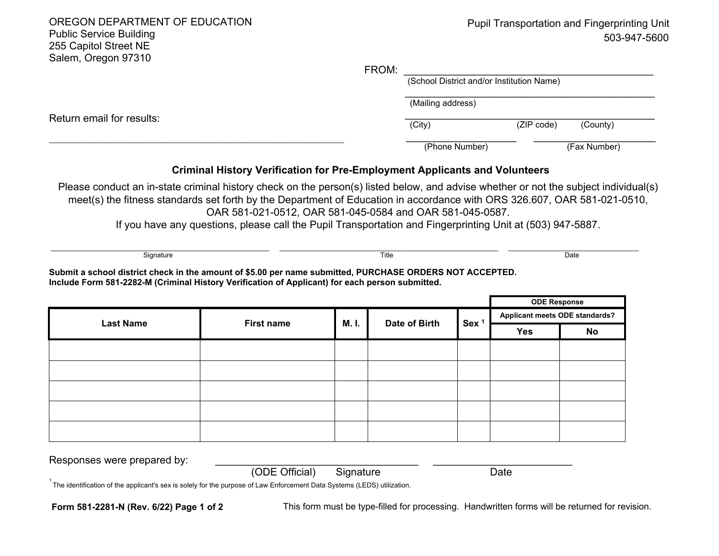OREGON DEPARTMENT OF EDUCATION Public Service Building 255 Capitol Street NE Salem, Oregon 97310 503-947-5600 Return email for results: \_\_\_\_\_\_\_\_\_\_\_\_\_\_\_\_\_\_\_\_\_\_\_\_\_\_\_\_\_\_\_\_\_\_\_\_\_\_\_\_\_\_\_\_\_\_\_\_\_\_\_\_\_\_\_\_\_\_\_\_\_\_\_\_\_ FROM: \_\_\_\_\_\_\_\_\_\_\_\_\_\_\_\_\_\_\_\_\_\_\_\_\_\_\_\_\_\_\_\_\_\_\_\_\_\_\_\_\_\_\_ (School District and/or Institution Name)  $\overline{\phantom{a}}$  , and the set of the set of the set of the set of the set of the set of the set of the set of the set of the set of the set of the set of the set of the set of the set of the set of the set of the set of the s (Mailing address)  $\overline{\phantom{a}}$  , and the set of the set of the set of the set of the set of the set of the set of the set of the set of the set of the set of the set of the set of the set of the set of the set of the set of the set of the s (City) (ZIP code) (County) \_\_\_\_\_\_\_\_\_\_\_\_\_\_\_\_\_\_\_ \_\_\_\_\_\_\_\_\_\_\_\_\_\_\_\_\_\_\_\_\_ (Phone Number) (Fax Number) **Criminal History Verification for Pre-Employment Applicants and Volunteers** \_\_\_\_\_\_\_\_\_\_\_\_\_\_\_\_\_\_\_\_\_\_\_\_\_\_\_\_\_\_\_\_\_\_\_\_\_\_\_\_\_\_\_\_\_\_\_\_\_\_\_\_\_\_\_\_\_ \_\_\_\_\_\_\_\_\_\_\_\_\_\_\_\_\_\_\_\_\_\_\_\_\_\_\_\_\_\_\_\_\_\_\_\_\_\_\_\_\_\_\_\_\_\_\_\_\_\_\_\_\_\_\_\_\_ \_\_\_\_\_\_\_\_\_\_\_\_\_\_\_\_\_\_\_\_\_\_\_\_\_\_\_\_\_\_\_\_\_\_ Signature Title Date Please conduct an in-state criminal history check on the person(s) listed below, and advise whether or not the subject individual(s) meet(s) the fitness standards set forth by the Department of Education in accordance with ORS 326.607, OAR 581-021-0510, OAR 581-021-0512, OAR 581-045-0584 and OAR 581-045-0587. If you have any questions, please call the Pupil Transportation and Fingerprinting Unit at (503) 947-5887. Pupil Transportation and Fingerprinting Unit

**Submit a school district check in the amount of \$5.00 per name submitted, PURCHASE ORDERS NOT ACCEPTED. Include Form 581-2282-M (Criminal History Verification of Applicant) for each person submitted.**

|                  |                   |       |               | <b>ODE Response</b> |                                       |    |
|------------------|-------------------|-------|---------------|---------------------|---------------------------------------|----|
| <b>Last Name</b> | <b>First name</b> | M. I. | Date of Birth | Sex <sup>1</sup>    | <b>Applicant meets ODE standards?</b> |    |
|                  |                   |       |               |                     | Yes                                   | No |
|                  |                   |       |               |                     |                                       |    |
|                  |                   |       |               |                     |                                       |    |
|                  |                   |       |               |                     |                                       |    |
|                  |                   |       |               |                     |                                       |    |
|                  |                   |       |               |                     |                                       |    |
|                  |                   |       |               |                     |                                       |    |

Responses were prepared by:

 $^{\textrm{\tiny{1}}}$ The identification of the applicant's sex is solely for the purpose of Law Enforcement Data Systems (LEDS) utilization.  $^{\textrm{\tiny{1}}}$ 

**Form 581-2281-N (Rev. 6/22) Page 1 of 2** This form must be type-filled for processing. Handwritten forms will be returned for revision.